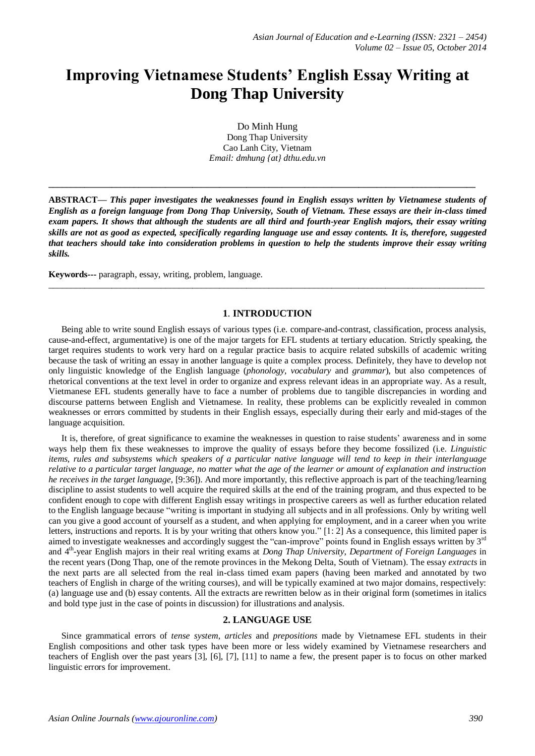# **Improving Vietnamese Students' English Essay Writing at Dong Thap University**

Do Minh Hung Dong Thap University Cao Lanh City, Vietnam *Email: dmhung {at} dthu.edu.vn*

**\_\_\_\_\_\_\_\_\_\_\_\_\_\_\_\_\_\_\_\_\_\_\_\_\_\_\_\_\_\_\_\_\_\_\_\_\_\_\_\_\_\_\_\_\_\_\_\_\_\_\_\_\_\_\_\_\_\_\_\_\_\_\_\_\_\_\_\_\_\_\_\_\_\_\_\_\_\_\_\_\_\_\_\_\_\_\_\_\_\_\_\_\_\_\_**

**ABSTRACT—** *This paper investigates the weaknesses found in English essays written by Vietnamese students of English as a foreign language from Dong Thap University, South of Vietnam. These essays are their in-class timed exam papers. It shows that although the students are all third and fourth-year English majors, their essay writing skills are not as good as expected, specifically regarding language use and essay contents. It is, therefore, suggested that teachers should take into consideration problems in question to help the students improve their essay writing skills.* 

**Keywords---** paragraph, essay, writing, problem, language.

# **1**. **INTRODUCTION**

 $\_$  ,  $\_$  ,  $\_$  ,  $\_$  ,  $\_$  ,  $\_$  ,  $\_$  ,  $\_$  ,  $\_$  ,  $\_$  ,  $\_$  ,  $\_$  ,  $\_$  ,  $\_$  ,  $\_$  ,  $\_$  ,  $\_$  ,  $\_$  ,  $\_$  ,  $\_$  ,  $\_$  ,  $\_$  ,  $\_$  ,  $\_$  ,  $\_$  ,  $\_$  ,  $\_$  ,  $\_$  ,  $\_$  ,  $\_$  ,  $\_$  ,  $\_$  ,  $\_$  ,  $\_$  ,  $\_$  ,  $\_$  ,  $\_$  ,

Being able to write sound English essays of various types (i.e. compare-and-contrast, classification, process analysis, cause-and-effect, argumentative) is one of the major targets for EFL students at tertiary education. Strictly speaking, the target requires students to work very hard on a regular practice basis to acquire related subskills of academic writing because the task of writing an essay in another language is quite a complex process. Definitely, they have to develop not only linguistic knowledge of the English language (*phonology, vocabulary* and *grammar*), but also competences of rhetorical conventions at the text level in order to organize and express relevant ideas in an appropriate way. As a result, Vietmanese EFL students generally have to face a number of problems due to tangible discrepancies in wording and discourse patterns between English and Vietnamese. In reality, these problems can be explicitly revealed in common weaknesses or errors committed by students in their English essays, especially during their early and mid-stages of the language acquisition.

It is, therefore, of great significance to examine the weaknesses in question to raise students' awareness and in some ways help them fix these weaknesses to improve the quality of essays before they become fossilized (i.e. *Linguistic items, rules and subsystems which speakers of a particular native language will tend to keep in their interlanguage relative to a particular target language, no matter what the age of the learner or amount of explanation and instruction he receives in the target language*, [9:36]). And more importantly, this reflective approach is part of the teaching/learning discipline to assist students to well acquire the required skills at the end of the training program, and thus expected to be confident enough to cope with different English essay writings in prospective careers as well as further education related to the English language because "writing is important in studying all subjects and in all professions. Only by writing well can you give a good account of yourself as a student, and when applying for employment, and in a career when you write letters, instructions and reports. It is by your writing that others know you." [1: 2] As a consequence, this limited paper is aimed to investigate weaknesses and accordingly suggest the "can-improve" points found in English essays written by  $3<sup>rd</sup>$ and 4th -year English majors in their real writing exams at *Dong Thap University*, *Department of Foreign Languages* in the recent years (Dong Thap, one of the remote provinces in the Mekong Delta, South of Vietnam). The essay *extracts* in the next parts are all selected from the real in-class timed exam papers (having been marked and annotated by two teachers of English in charge of the writing courses), and will be typically examined at two major domains, respectively: (a) language use and (b) essay contents. All the extracts are rewritten below as in their original form (sometimes in italics and bold type just in the case of points in discussion) for illustrations and analysis.

# **2. LANGUAGE USE**

Since grammatical errors of *tense system*, *articles* and *prepositions* made by Vietnamese EFL students in their English compositions and other task types have been more or less widely examined by Vietnamese researchers and teachers of English over the past years [3], [6], [7], [11] to name a few, the present paper is to focus on other marked linguistic errors for improvement.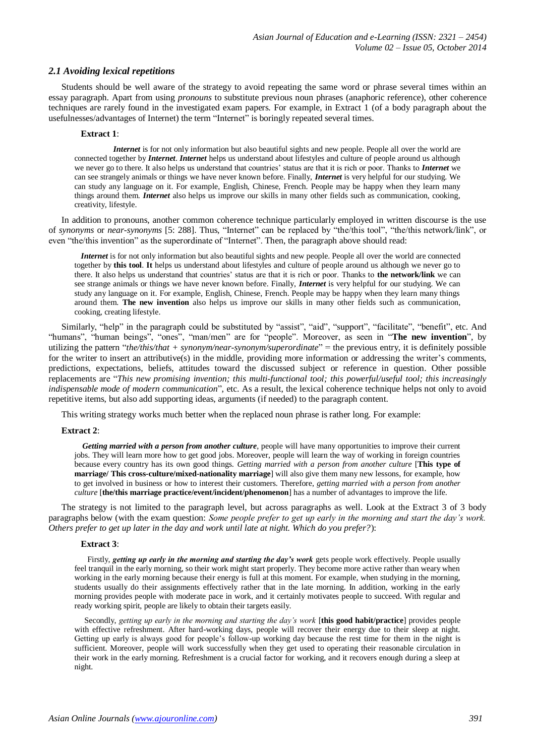## *2.1 Avoiding lexical repetitions*

Students should be well aware of the strategy to avoid repeating the same word or phrase several times within an essay paragraph. Apart from using *pronouns* to substitute previous noun phrases (anaphoric reference), other coherence techniques are rarely found in the investigated exam papers. For example, in Extract 1 (of a body paragraph about the usefulnesses/advantages of Internet) the term "Internet" is boringly repeated several times.

#### **Extract 1**:

*Internet* is for not only information but also beautiful sights and new people. People all over the world are connected together by *Internet*. *Internet* helps us understand about lifestyles and culture of people around us although we never go to there. It also helps us understand that countries' status are that it is rich or poor. Thanks to *Internet* we can see strangely animals or things we have never known before. Finally, *Internet* is very helpful for our studying. We can study any language on it. For example, English, Chinese, French. People may be happy when they learn many things around them. *Internet* also helps us improve our skills in many other fields such as communication, cooking, creativity, lifestyle.

In addition to pronouns, another common coherence technique particularly employed in written discourse is the use of *synonyms* or *near-synonyms* [5: 288]. Thus, "Internet" can be replaced by "the/this tool", "the/this network/link", or even "the/this invention" as the superordinate of "Internet". Then, the paragraph above should read:

*Internet* is for not only information but also beautiful sights and new people. People all over the world are connected together by **this tool**. **It** helps us understand about lifestyles and culture of people around us although we never go to there. It also helps us understand that countries' status are that it is rich or poor. Thanks to **the network/link** we can see strange animals or things we have never known before. Finally, *Internet* is very helpful for our studying. We can study any language on it. For example, English, Chinese, French. People may be happy when they learn many things around them. **The new invention** also helps us improve our skills in many other fields such as communication, cooking, creating lifestyle.

Similarly, "help" in the paragraph could be substituted by "assist", "aid", "support", "facilitate", "benefit", etc. And "humans", "human beings", "ones", "man/men" are for "people". Moreover, as seen in "**The new invention**", by utilizing the pattern "*the/this/that + synonym/near-synonym/superordinate*" = the previous entry, it is definitely possible for the writer to insert an attributive(s) in the middle, providing more information or addressing the writer's comments, predictions, expectations, beliefs, attitudes toward the discussed subject or reference in question. Other possible replacements are "*This new promising invention; this multi-functional tool; this powerful/useful tool; this increasingly indispensable mode of modern communication*", etc. As a result, the lexical coherence technique helps not only to avoid repetitive items, but also add supporting ideas, arguments (if needed) to the paragraph content.

This writing strategy works much better when the replaced noun phrase is rather long. For example:

#### **Extract 2**:

 *Getting married with a person from another culture*, people will have many opportunities to improve their current jobs. They will learn more how to get good jobs. Moreover, people will learn the way of working in foreign countries because every country has its own good things. *Getting married with a person from another culture* [**This type of marriage/ This cross-culture/mixed-nationality marriage**] will also give them many new lessons, for example, how to get involved in business or how to interest their customers. Therefore, *getting married with a person from another culture* [**the/this marriage practice/event/incident/phenomenon**] has a number of advantages to improve the life.

The strategy is not limited to the paragraph level, but across paragraphs as well. Look at the Extract 3 of 3 body paragraphs below (with the exam question: *Some people prefer to get up early in the morning and start the day's work. Others prefer to get up later in the day and work until late at night. Which do you prefer?*):

#### **Extract 3**:

Firstly, *getting up early in the morning and starting the day's work* gets people work effectively. People usually feel tranquil in the early morning, so their work might start properly. They become more active rather than weary when working in the early morning because their energy is full at this moment. For example, when studying in the morning, students usually do their assignments effectively rather that in the late morning. In addition, working in the early morning provides people with moderate pace in work, and it certainly motivates people to succeed. With regular and ready working spirit, people are likely to obtain their targets easily.

 Secondly, *getting up early in the morning and starting the day's work* [**this good habit/practice**] provides people with effective refreshment. After hard-working days, people will recover their energy due to their sleep at night. Getting up early is always good for people's follow-up working day because the rest time for them in the night is sufficient. Moreover, people will work successfully when they get used to operating their reasonable circulation in their work in the early morning. Refreshment is a crucial factor for working, and it recovers enough during a sleep at night.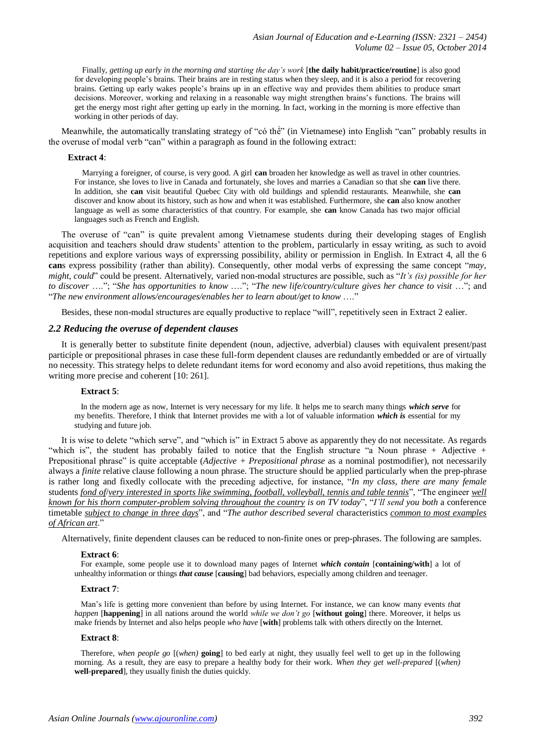Finally, *getting up early in the morning and starting the day's work* [**the daily habit/practice/routine**] is also good for developing people's brains. Their brains are in resting status when they sleep, and it is also a period for recovering brains. Getting up early wakes people's brains up in an effective way and provides them abilities to produce smart decisions. Moreover, working and relaxing in a reasonable way might strengthen brains's functions. The brains will get the energy most right after getting up early in the morning. In fact, working in the morning is more effective than working in other periods of day.

Meanwhile, the automatically translating strategy of "có thể" (in Vietnamese) into English "can" probably results in the overuse of modal verb "can" within a paragraph as found in the following extract:

## **Extract 4**:

 Marrying a foreigner, of course, is very good. A girl **can** broaden her knowledge as well as travel in other countries. For instance, she loves to live in Canada and fortunately, she loves and marries a Canadian so that she **can** live there. In addition, she **can** visit beautiful Quebec City with old buildings and splendid restaurants. Meanwhile, she **can** discover and know about its history, such as how and when it was established. Furthermore, she **can** also know another language as well as some characteristics of that country. For example, she **can** know Canada has two major official languages such as French and English.

The overuse of "can" is quite prevalent among Vietnamese students during their developing stages of English acquisition and teachers should draw students' attention to the problem, particularly in essay writing, as such to avoid repetitions and explore various ways of exprerssing possibility, ability or permission in English. In Extract 4, all the 6 **can**s express possibility (rather than ability). Consequently, other modal verbs of expressing the same concept "*may, might, could*" could be present. Alternatively, varied non-modal structures are possible, such as "*It's (is) possible for her to discover* …."; "*She has opportunities to know* …."; "*The new life/country/culture gives her chance to visit* …"; and "*The new environment allows/encourages/enables her to learn about/get to know* …."

Besides, these non-modal structures are equally productive to replace "will", repetitively seen in Extract 2 ealier.

# *2.2 Reducing the overuse of dependent clauses*

It is generally better to substitute finite dependent (noun, adjective, adverbial) clauses with equivalent present/past participle or prepositional phrases in case these full-form dependent clauses are redundantly embedded or are of virtually no necessity. This strategy helps to delete redundant items for word economy and also avoid repetitions, thus making the writing more precise and coherent [10: 261].

## **Extract 5**:

In the modern age as now, Internet is very necessary for my life. It helps me to search many things *which serve* for my benefits. Therefore, I think that Internet provides me with a lot of valuable information *which is* essential for my studying and future job.

It is wise to delete "which serve", and "which is" in Extract 5 above as apparently they do not necessitate. As regards "which is", the student has probably failed to notice that the English structure "a Noun phrase + Adjective + Prepositional phrase" is quite acceptable (*Adjective + Prepositional phrase* as a nominal postmodifier), not necessarily always a *finite* relative clause following a noun phrase. The structure should be applied particularly when the prep-phrase is rather long and fixedly collocate with the preceding adjective, for instance, "*In my class, there are many female*  students *fond of*/*very interested in sports like swimming, football, volleyball, tennis and table tennis*", "The engineer *well known for his thorn computer-problem solving throughout the country is on TV today*", "*I'll send you both* a conference timetable *subject to change in three days*", and "*The author described several* characteristics *common to most examples of African art*."

Alternatively, finite dependent clauses can be reduced to non-finite ones or prep-phrases. The following are samples.

#### **Extract 6**:

For example, some people use it to download many pages of Internet *which contain* [**containing/with**] a lot of unhealthy information or things *that cause* [**causing**] bad behaviors, especially among children and teenager.

#### **Extract 7**:

Man's life is getting more convenient than before by using Internet. For instance, we can know many events *that happen* [**happening**] in all nations around the world *while we don't go* [**without going**] there. Moreover, it helps us make friends by Internet and also helps people *who have* [**with**] problems talk with others directly on the Internet.

#### **Extract 8**:

Therefore, *when people go* [(*when)* **going**] to bed early at night, they usually feel well to get up in the following morning. As a result, they are easy to prepare a healthy body for their work. *When they get well-prepared* [(*when)*  **well-prepared**], they usually finish the duties quickly.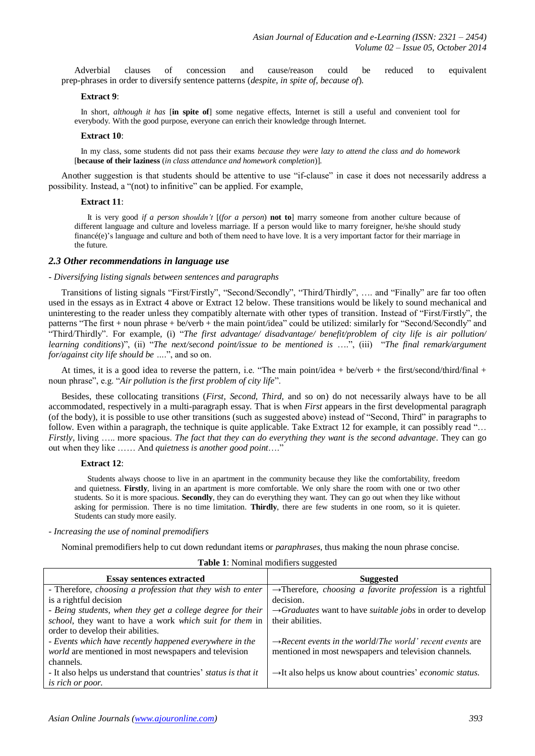Adverbial clauses of concession and cause/reason could be reduced to equivalent prep-phrases in order to diversify sentence patterns (*despite, in spite of, because of*).

#### **Extract 9**:

In short, *although it has* [**in spite of**] some negative effects, Internet is still a useful and convenient tool for everybody. With the good purpose, everyone can enrich their knowledge through Internet.

#### **Extract 10**:

In my class, some students did not pass their exams *because they were lazy to attend the class and do homework* [**because of their laziness** (*in class attendance and homework completion*)].

Another suggestion is that students should be attentive to use "if-clause" in case it does not necessarily address a possibility. Instead, a "(not) to infinitive" can be applied. For example,

#### **Extract 11**:

It is very good *if a person shouldn't* [(*for a person*) **not to**] marry someone from another culture because of different language and culture and loveless marriage. If a person would like to marry foreigner, he/she should study financé(e)'s language and culture and both of them need to have love. It is a very important factor for their marriage in the future.

#### *2.3 Other recommendations in language use*

#### - *Diversifying listing signals between sentences and paragraphs*

Transitions of listing signals "First/Firstly", "Second/Secondly", "Third/Thirdly", …. and "Finally" are far too often used in the essays as in Extract 4 above or Extract 12 below. These transitions would be likely to sound mechanical and uninteresting to the reader unless they compatibly alternate with other types of transition. Instead of "First/Firstly", the patterns "The first + noun phrase + be/verb + the main point/idea" could be utilized: similarly for "Second/Secondly" and "Third/Thirdly". For example, (i) "*The first advantage/ disadvantage/ benefit/problem of city life is air pollution/ learning conditions*)", (ii) "*The next/second point/issue to be mentioned is* ….", (iii) "*The final remark/argument for/against city life should be …*.", and so on.

At times, it is a good idea to reverse the pattern, i.e. "The main point/idea + be/verb + the first/second/third/final + noun phrase", e.g. "*Air pollution is the first problem of city life*".

Besides, these collocating transitions (*First, Second, Third,* and so on) do not necessarily always have to be all accommodated, respectively in a multi-paragraph essay. That is when *First* appears in the first developmental paragraph (of the body), it is possible to use other transitions (such as suggested above) instead of "Second, Third" in paragraphs to follow. Even within a paragraph, the technique is quite applicable. Take Extract 12 for example, it can possibly read "... *Firstly*, living ….. more spacious. *The fact that they can do everything they want is the second advantage*. They can go out when they like …… And *quietness is another good point*…."

#### **Extract 12**:

Students always choose to live in an apartment in the community because they like the comfortability, freedom and quietness. **Firstly**, living in an apartment is more comfortable. We only share the room with one or two other students. So it is more spacious. **Secondly**, they can do everything they want. They can go out when they like without asking for permission. There is no time limitation. **Thirdly**, there are few students in one room, so it is quieter. Students can study more easily.

#### - *Increasing the use of nominal premodifiers*

Nominal premodifiers help to cut down redundant items or *paraphrases*, thus making the noun phrase concise.

| <b>Essay sentences extracted</b>                                | <b>Suggested</b>                                                              |
|-----------------------------------------------------------------|-------------------------------------------------------------------------------|
| - Therefore, choosing a profession that they wish to enter      | $\rightarrow$ Therefore, <i>choosing a favorite profession</i> is a rightful  |
| is a rightful decision                                          | decision.                                                                     |
| - Being students, when they get a college degree for their      | $\rightarrow$ Graduates want to have suitable jobs in order to develop        |
| school, they want to have a work which suit for them in         | their abilities.                                                              |
| order to develop their abilities.                               |                                                                               |
| - Events which have recently happened everywhere in the         | $\rightarrow$ Recent events in the world/The world' recent events are         |
| world are mentioned in most newspapers and television           | mentioned in most newspapers and television channels.                         |
| channels.                                                       |                                                                               |
| - It also helps us understand that countries' status is that it | $\rightarrow$ It also helps us know about countries' <i>economic status</i> . |
| is rich or poor.                                                |                                                                               |

#### **Table 1**: Nominal modifiers suggested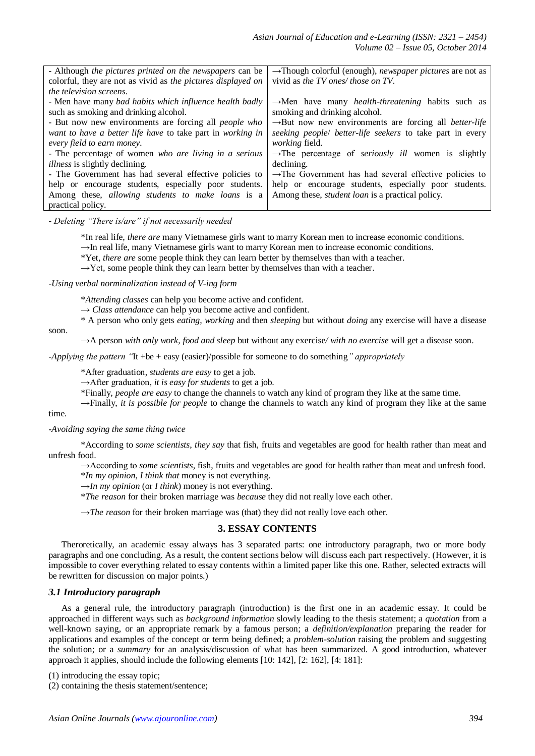| $\rightarrow$ Though colorful (enough), <i>newspaper pictures</i> are not as |
|------------------------------------------------------------------------------|
| vivid as the TV ones/ those on TV.                                           |
|                                                                              |
| $\rightarrow$ Men have many <i>health-threatening</i> habits such as         |
| smoking and drinking alcohol.                                                |
| $\rightarrow$ But now new environments are forcing all <i>better-life</i>    |
| seeking people/ better-life seekers to take part in every                    |
| <i>working field.</i>                                                        |
| $\rightarrow$ The percentage of <i>seriously ill</i> women is slightly       |
| declining.                                                                   |
| $\rightarrow$ The Government has had several effective policies to           |
| help or encourage students, especially poor students.                        |
| Among these, <i>student loan</i> is a practical policy.                      |
|                                                                              |
|                                                                              |

- *Deleting "There is/are" if not necessarily needed*

\*In real life, *there are* many Vietnamese girls want to marry Korean men to increase economic conditions.

→In real life, many Vietnamese girls want to marry Korean men to increase economic conditions.

\*Yet, *there are* some people think they can learn better by themselves than with a teacher.

→Yet*,* some people think they can learn better by themselves than with a teacher*.*

-*Using verbal norminalization instead of V-ing form*

\**Attending classes* can help you become active and confident.

 $\rightarrow$  *Class attendance* can help you become active and confident.

\* A person who only gets *eating, working* and then *sleeping* but without *doing* any exercise will have a disease

soon.

→A person *with only work, food and sleep* but without any exercise*/ with no exercise* will get a disease soon.

*-Applying the pattern "*It +be + easy (easier)/possible for someone to do something*" appropriately* 

\*After graduation, *students are easy* to get a job.

→After graduation*, it is easy for students* to get a job.

\*Finally, *people are easy* to change the channels to watch any kind of program they like at the same time.

→Finally, *it is possible for people* to change the channels to watch any kind of program they like at the same time.

*-Avoiding saying the same thing twice*

\*According to *some scientists*, *they say* that fish, fruits and vegetables are good for health rather than meat and unfresh food.

→According to *some scientists,* fish, fruits and vegetables are good for health rather than meat and unfresh food. \**In my opinion*, *I think that* money is not everything.

 $\rightarrow$ *In my opinion* (or *I think*) money is not everything.

\**The reason* for their broken marriage was *because* they did not really love each other.

 $\rightarrow$ *The reason* for their broken marriage was (that) they did not really love each other.

## **3. ESSAY CONTENTS**

Theroretically, an academic essay always has 3 separated parts: one introductory paragraph, two or more body paragraphs and one concluding. As a result, the content sections below will discuss each part respectively. (However, it is impossible to cover everything related to essay contents within a limited paper like this one. Rather, selected extracts will be rewritten for discussion on major points.)

## *3.1 Introductory paragraph*

As a general rule, the introductory paragraph (introduction) is the first one in an academic essay. It could be approached in different ways such as *background information* slowly leading to the thesis statement; a *quotation* from a well-known saying, or an appropriate remark by a famous person; a *definition/explanation* preparing the reader for applications and examples of the concept or term being defined; a *problem-solution* raising the problem and suggesting the solution; or a *summary* for an analysis/discussion of what has been summarized. A good introduction, whatever approach it applies, should include the following elements [10: 142], [2: 162], [4: 181]:

(1) introducing the essay topic;

(2) containing the thesis statement/sentence;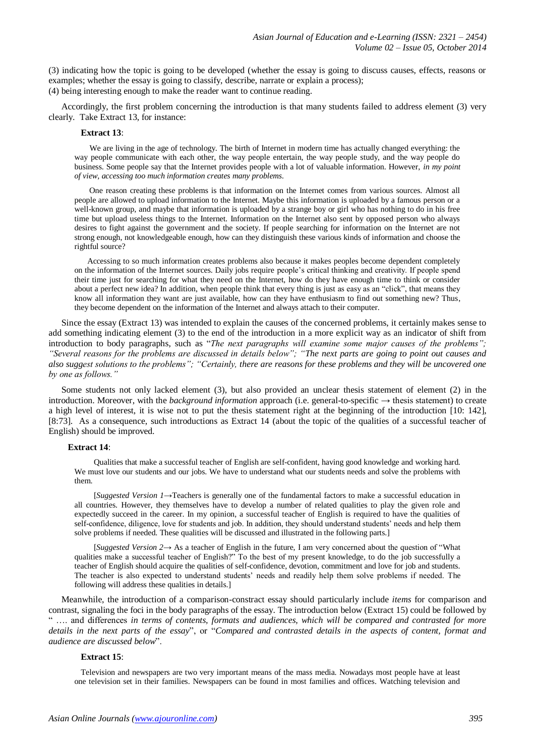(3) indicating how the topic is going to be developed (whether the essay is going to discuss causes, effects, reasons or examples; whether the essay is going to classify, describe, narrate or explain a process); (4) being interesting enough to make the reader want to continue reading.

Accordingly, the first problem concerning the introduction is that many students failed to address element (3) very clearly. Take Extract 13, for instance:

#### **Extract 13**:

We are living in the age of technology. The birth of Internet in modern time has actually changed everything: the way people communicate with each other, the way people entertain, the way people study, and the way people do business. Some people say that the Internet provides people with a lot of valuable information. However, *in my point of view, accessing too much information creates many problems.* 

One reason creating these problems is that information on the Internet comes from various sources. Almost all people are allowed to upload information to the Internet. Maybe this information is uploaded by a famous person or a well-known group, and maybe that information is uploaded by a strange boy or girl who has nothing to do in his free time but upload useless things to the Internet. Information on the Internet also sent by opposed person who always desires to fight against the government and the society. If people searching for information on the Internet are not strong enough, not knowledgeable enough, how can they distinguish these various kinds of information and choose the rightful source?

Accessing to so much information creates problems also because it makes peoples become dependent completely on the information of the Internet sources. Daily jobs require people's critical thinking and creativity. If people spend their time just for searching for what they need on the Internet, how do they have enough time to think or consider about a perfect new idea? In addition, when people think that every thing is just as easy as an "click", that means they know all information they want are just available, how can they have enthusiasm to find out something new? Thus, they become dependent on the information of the Internet and always attach to their computer.

Since the essay (Extract 13) was intended to explain the causes of the concerned problems, it certainly makes sense to add something indicating element (3) to the end of the introduction in a more explicit way as an indicator of shift from introduction to body paragraphs, such as "*The next paragraphs will examine some major causes of the problems"; "Several reasons for the problems are discussed in details below"; "The next parts are going to point out causes and also suggest solutions to the problems"; "Certainly, there are reasons for these problems and they will be uncovered one by one as follows."*

Some students not only lacked element (3), but also provided an unclear thesis statement of element (2) in the introduction. Moreover, with the *background information* approach (i.e. general-to-specific → thesis statement) to create a high level of interest, it is wise not to put the thesis statement right at the beginning of the introduction [10: 142], [8:73]. As a consequence, such introductions as Extract 14 (about the topic of the qualities of a successful teacher of English) should be improved.

## **Extract 14**:

Qualities that make a successful teacher of English are self-confident, having good knowledge and working hard. We must love our students and our jobs. We have to understand what our students needs and solve the problems with them.

[*Suggested Version 1*→Teachers is generally one of the fundamental factors to make a successful education in all countries. However, they themselves have to develop a number of related qualities to play the given role and expectedly succeed in the career. In my opinion, a successful teacher of English is required to have the qualities of self-confidence, diligence, love for students and job. In addition, they should understand students' needs and help them solve problems if needed. These qualities will be discussed and illustrated in the following parts.]

[*Suggested Version 2→* As a teacher of English in the future, I am very concerned about the question of "What qualities make a successful teacher of English?" To the best of my present knowledge, to do the job successfully a teacher of English should acquire the qualities of self-confidence, devotion, commitment and love for job and students. The teacher is also expected to understand students' needs and readily help them solve problems if needed. The following will address these qualities in details.]

Meanwhile, the introduction of a comparison-constract essay should particularly include *items* for comparison and contrast, signaling the foci in the body paragraphs of the essay. The introduction below (Extract 15) could be followed by .... and differences *in terms of contents, formats and audiences, which will be compared and contrasted for more details in the next parts of the essay*", or "*Compared and contrasted details in the aspects of content, format and audience are discussed below*".

## **Extract 15**:

 Television and newspapers are two very important means of the mass media. Nowadays most people have at least one television set in their families. Newspapers can be found in most families and offices. Watching television and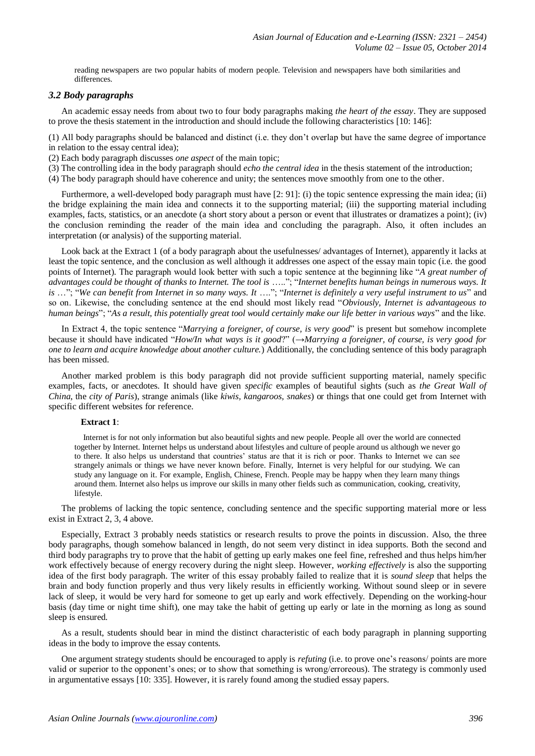reading newspapers are two popular habits of modern people. Television and newspapers have both similarities and differences.

# *3.2 Body paragraphs*

An academic essay needs from about two to four body paragraphs making *the heart of the essay*. They are supposed to prove the thesis statement in the introduction and should include the following characteristics [10: 146]:

(1) All body paragraphs should be balanced and distinct (i.e. they don't overlap but have the same degree of importance in relation to the essay central idea);

(2) Each body paragraph discusses *one aspect* of the main topic;

(3) The controlling idea in the body paragraph should *echo the central idea* in the thesis statement of the introduction;

(4) The body paragraph should have coherence and unity; the sentences move smoothly from one to the other.

Furthermore, a well-developed body paragraph must have [2: 91]: (i) the topic sentence expressing the main idea; (ii) the bridge explaining the main idea and connects it to the supporting material; (iii) the supporting material including examples, facts, statistics, or an anecdote (a short story about a person or event that illustrates or dramatizes a point); (iv) the conclusion reminding the reader of the main idea and concluding the paragraph. Also, it often includes an interpretation (or analysis) of the supporting material.

Look back at the Extract 1 (of a body paragraph about the usefulnesses/ advantages of Internet), apparently it lacks at least the topic sentence, and the conclusion as well although it addresses one aspect of the essay main topic (i.e. the good points of Internet). The paragraph would look better with such a topic sentence at the beginning like "*A great number of advantages could be thought of thanks to Internet. The tool is* ….."; "*Internet benefits human beings in numerous ways. It is* …"; "*We can benefit from Internet in so many ways. It* …."; "*Internet is definitely a very useful instrument to us*" and so on. Likewise, the concluding sentence at the end should most likely read "*Obviously, Internet is advantageous to human beings*"; "*As a result, this potentially great tool would certainly make our life better in various ways*" and the like.

In Extract 4, the topic sentence "*Marrying a foreigner, of course, is very good*" is present but somehow incomplete because it should have indicated "*How/In what ways is it good*?" (→*Marrying a foreigner, of course, is very good for one to learn and acquire knowledge about another culture.*) Additionally, the concluding sentence of this body paragraph has been missed.

Another marked problem is this body paragraph did not provide sufficient supporting material, namely specific examples, facts, or anecdotes. It should have given *specific* examples of beautiful sights (such as *the Great Wall of China*, the *city of Paris*), strange animals (like *kiwis, kangaroos, snakes*) or things that one could get from Internet with specific different websites for reference.

# **Extract 1**:

Internet is for not only information but also beautiful sights and new people. People all over the world are connected together by Internet. Internet helps us understand about lifestyles and culture of people around us although we never go to there. It also helps us understand that countries' status are that it is rich or poor. Thanks to Internet we can see strangely animals or things we have never known before. Finally, Internet is very helpful for our studying. We can study any language on it. For example, English, Chinese, French. People may be happy when they learn many things around them. Internet also helps us improve our skills in many other fields such as communication, cooking, creativity, lifestyle.

The problems of lacking the topic sentence, concluding sentence and the specific supporting material more or less exist in Extract 2, 3, 4 above.

Especially, Extract 3 probably needs statistics or research results to prove the points in discussion. Also, the three body paragraphs, though somehow balanced in length, do not seem very distinct in idea supports. Both the second and third body paragraphs try to prove that the habit of getting up early makes one feel fine, refreshed and thus helps him/her work effectively because of energy recovery during the night sleep. However, *working effectively* is also the supporting idea of the first body paragraph. The writer of this essay probably failed to realize that it is *sound sleep* that helps the brain and body function properly and thus very likely results in efficiently working. Without sound sleep or in severe lack of sleep, it would be very hard for someone to get up early and work effectively. Depending on the working-hour basis (day time or night time shift), one may take the habit of getting up early or late in the morning as long as sound sleep is ensured.

As a result, students should bear in mind the distinct characteristic of each body paragraph in planning supporting ideas in the body to improve the essay contents.

One argument strategy students should be encouraged to apply is *refuting* (i.e. to prove one's reasons/ points are more valid or superior to the opponent's ones; or to show that something is wrong/erroreous). The strategy is commonly used in argumentative essays [10: 335]. However, it is rarely found among the studied essay papers.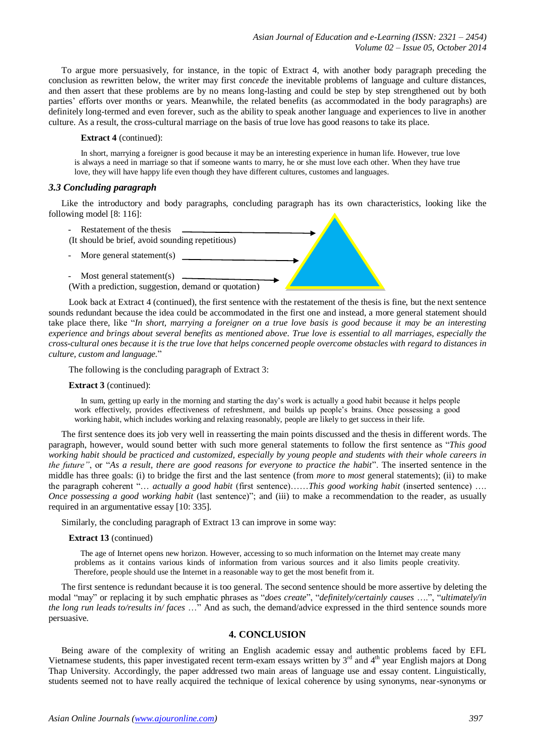To argue more persuasively, for instance, in the topic of Extract 4, with another body paragraph preceding the conclusion as rewritten below, the writer may first *concede* the inevitable problems of language and culture distances, and then assert that these problems are by no means long-lasting and could be step by step strengthened out by both parties' efforts over months or years. Meanwhile, the related benefits (as accommodated in the body paragraphs) are definitely long-termed and even forever, such as the ability to speak another language and experiences to live in another culture. As a result, the cross-cultural marriage on the basis of true love has good reasons to take its place.

## **Extract 4** (continued):

In short, marrying a foreigner is good because it may be an interesting experience in human life. However, true love is always a need in marriage so that if someone wants to marry, he or she must love each other. When they have true love, they will have happy life even though they have different cultures, customes and languages.

# *3.3 Concluding paragraph*

Like the introductory and body paragraphs, concluding paragraph has its own characteristics, looking like the following model [8: 116]:



Look back at Extract 4 (continued), the first sentence with the restatement of the thesis is fine, but the next sentence sounds redundant because the idea could be accommodated in the first one and instead, a more general statement should take place there, like "*In short, marrying a foreigner on a true love basis is good because it may be an interesting experience and brings about several benefits as mentioned above. True love is essential to all marriages, especially the cross-cultural ones because it is the true love that helps concerned people overcome obstacles with regard to distances in culture, custom and language.*"

The following is the concluding paragraph of Extract 3:

# **Extract 3** (continued):

In sum, getting up early in the morning and starting the day's work is actually a good habit because it helps people work effectively, provides effectiveness of refreshment, and builds up people's brains. Once possessing a good working habit, which includes working and relaxing reasonably, people are likely to get success in their life.

The first sentence does its job very well in reasserting the main points discussed and the thesis in different words. The paragraph, however, would sound better with such more general statements to follow the first sentence as "*This good working habit should be practiced and customized, especially by young people and students with their whole careers in the future"*, or "*As a result, there are good reasons for everyone to practice the habit*". The inserted sentence in the middle has three goals: (i) to bridge the first and the last sentence (from *more* to *most* general statements); (ii) to make the paragraph coherent "… *actually a good habit* (first sentence)……*This good working habit* (inserted sentence) …. *Once possessing a good working habit* (last sentence)"; and (iii) to make a recommendation to the reader, as usually required in an argumentative essay [10: 335].

Similarly, the concluding paragraph of Extract 13 can improve in some way:

# **Extract 13** (continued)

 The age of Internet opens new horizon. However, accessing to so much information on the Internet may create many problems as it contains various kinds of information from various sources and it also limits people creativity. Therefore, people should use the Internet in a reasonable way to get the most benefit from it.

The first sentence is redundant because it is too general. The second sentence should be more assertive by deleting the modal "may" or replacing it by such emphatic phrases as "*does create*", "*definitely/certainly causes* ….", "*ultimately/in the long run leads to/results in/ faces* …" And as such, the demand/advice expressed in the third sentence sounds more persuasive.

# **4. CONCLUSION**

Being aware of the complexity of writing an English academic essay and authentic problems faced by EFL Vietnamese students, this paper investigated recent term-exam essays written by 3<sup>rd</sup> and 4<sup>th</sup> year English majors at Dong Thap University. Accordingly, the paper addressed two main areas of language use and essay content. Linguistically, students seemed not to have really acquired the technique of lexical coherence by using synonyms, near-synonyms or